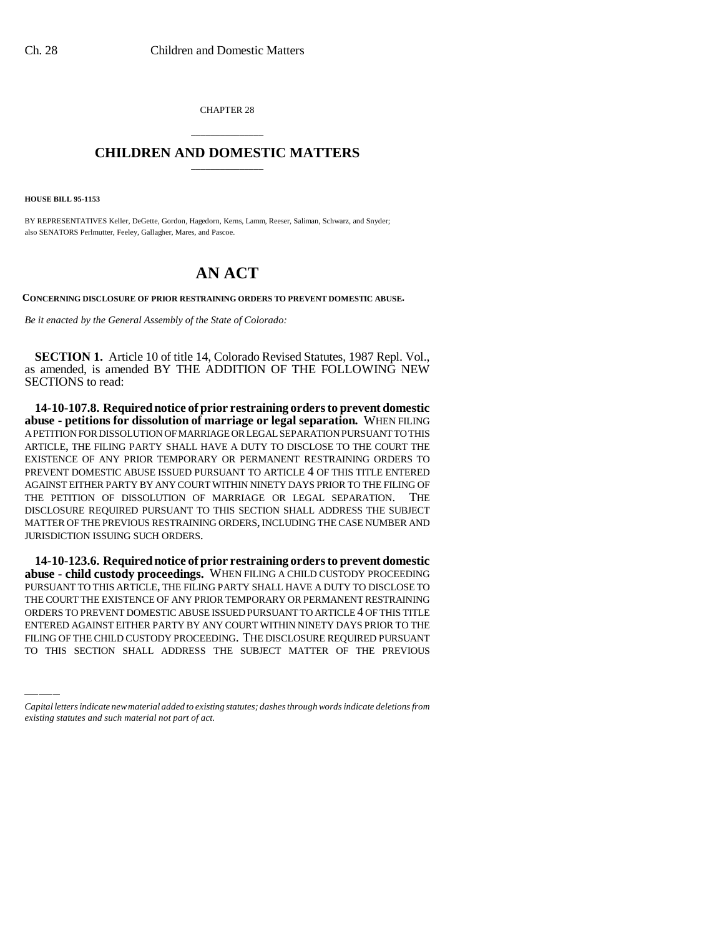CHAPTER 28

## \_\_\_\_\_\_\_\_\_\_\_\_\_\_\_ **CHILDREN AND DOMESTIC MATTERS** \_\_\_\_\_\_\_\_\_\_\_\_\_\_\_

**HOUSE BILL 95-1153**

BY REPRESENTATIVES Keller, DeGette, Gordon, Hagedorn, Kerns, Lamm, Reeser, Saliman, Schwarz, and Snyder; also SENATORS Perlmutter, Feeley, Gallagher, Mares, and Pascoe.

## **AN ACT**

**CONCERNING DISCLOSURE OF PRIOR RESTRAINING ORDERS TO PREVENT DOMESTIC ABUSE.**

*Be it enacted by the General Assembly of the State of Colorado:*

**SECTION 1.** Article 10 of title 14, Colorado Revised Statutes, 1987 Repl. Vol., as amended, is amended BY THE ADDITION OF THE FOLLOWING NEW SECTIONS to read:

**14-10-107.8. Required notice of prior restraining orders to prevent domestic abuse - petitions for dissolution of marriage or legal separation.** WHEN FILING A PETITION FOR DISSOLUTION OF MARRIAGE OR LEGAL SEPARATION PURSUANT TO THIS ARTICLE, THE FILING PARTY SHALL HAVE A DUTY TO DISCLOSE TO THE COURT THE EXISTENCE OF ANY PRIOR TEMPORARY OR PERMANENT RESTRAINING ORDERS TO PREVENT DOMESTIC ABUSE ISSUED PURSUANT TO ARTICLE 4 OF THIS TITLE ENTERED AGAINST EITHER PARTY BY ANY COURT WITHIN NINETY DAYS PRIOR TO THE FILING OF THE PETITION OF DISSOLUTION OF MARRIAGE OR LEGAL SEPARATION. THE DISCLOSURE REQUIRED PURSUANT TO THIS SECTION SHALL ADDRESS THE SUBJECT MATTER OF THE PREVIOUS RESTRAINING ORDERS, INCLUDING THE CASE NUMBER AND JURISDICTION ISSUING SUCH ORDERS.

THE COURT THE EXISTENCE OF ANY PRIOR TEMPORARY OR PERMANENT RESTRAINING<br>ORDERS TO PREVENT DOMESTIC ABUSE ISSUED PURSUANT TO ARTICLE 4 OF THIS TITLE **14-10-123.6. Required notice of prior restraining orders to prevent domestic abuse - child custody proceedings.** WHEN FILING A CHILD CUSTODY PROCEEDING PURSUANT TO THIS ARTICLE, THE FILING PARTY SHALL HAVE A DUTY TO DISCLOSE TO THE COURT THE EXISTENCE OF ANY PRIOR TEMPORARY OR PERMANENT RESTRAINING ENTERED AGAINST EITHER PARTY BY ANY COURT WITHIN NINETY DAYS PRIOR TO THE FILING OF THE CHILD CUSTODY PROCEEDING. THE DISCLOSURE REQUIRED PURSUANT TO THIS SECTION SHALL ADDRESS THE SUBJECT MATTER OF THE PREVIOUS

*Capital letters indicate new material added to existing statutes; dashes through words indicate deletions from existing statutes and such material not part of act.*